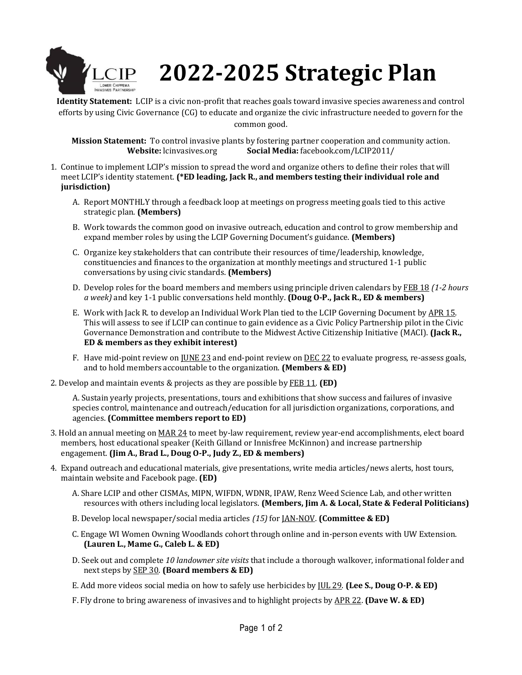

## **2022-2025 Strategic Plan**

**Identity Statement:** LCIP is a civic non-profit that reaches goals toward invasive species awareness and control efforts by using Civic Governance (CG) to educate and organize the civic infrastructure needed to govern for the common good.

**Mission Statement:** To control invasive plants by fostering partner cooperation and community action. **Website:** lcinvasives.org **Social Media:** facebook.com/LCIP2011/

- 1. Continue to implement LCIP's mission to spread the word and organize others to define their roles that will meet LCIP's identity statement. **(\*ED leading, Jack R., and members testing their individual role and jurisdiction)**
	- A. Report MONTHLY through a feedback loop at meetings on progress meeting goals tied to this active strategic plan. **(Members)**
	- B. Work towards the common good on invasive outreach, education and control to grow membership and expand member roles by using the LCIP Governing Document's guidance. **(Members)**
	- C. Organize key stakeholders that can contribute their resources of time/leadership, knowledge, constituencies and finances to the organization at monthly meetings and structured 1-1 public conversations by using civic standards. **(Members)**
	- D. Develop roles for the board members and members using principle driven calendars by FEB 18 *(1-2 hours a week)* and key 1-1 public conversations held monthly. **(Doug O-P., Jack R., ED & members)**
	- E. Work with Jack R. to develop an Individual Work Plan tied to the LCIP Governing Document by APR 15. This will assess to see if LCIP can continue to gain evidence as a Civic Policy Partnership pilot in the Civic Governance Demonstration and contribute to the Midwest Active Citizenship Initiative (MACI). **(Jack R., ED & members as they exhibit interest)**
	- F. Have mid-point review on JUNE 23 and end-point review on DEC 22 to evaluate progress, re-assess goals, and to hold members accountable to the organization. **(Members & ED)**
- 2. Develop and maintain events & projects as they are possible by FEB 11. **(ED)**

A. Sustain yearly projects, presentations, tours and exhibitions that show success and failures of invasive species control, maintenance and outreach/education for all jurisdiction organizations, corporations, and agencies. **(Committee members report to ED)**

- 3. Hold an annual meeting on MAR 24 to meet by-law requirement, review year-end accomplishments, elect board members, host educational speaker (Keith Gilland or Innisfree McKinnon) and increase partnership engagement. **(Jim A., Brad L., Doug O-P., Judy Z., ED & members)**
- 4. Expand outreach and educational materials, give presentations, write media articles/news alerts, host tours, maintain website and Facebook page. **(ED)**
	- A. Share LCIP and other CISMAs, MIPN, WIFDN, WDNR, IPAW, Renz Weed Science Lab, and other written resources with others including local legislators. **(Members, Jim A. & Local, State & Federal Politicians)**
	- B. Develop local newspaper/social media articles *(15)* for JAN-NOV. **(Committee & ED)**
	- C. Engage WI Women Owning Woodlands cohort through online and in-person events with UW Extension. **(Lauren L., Mame G., Caleb L. & ED)**
	- D. Seek out and complete *10 landowner site visits* that include a thorough walkover, informational folder and next steps by SEP 30. **(Board members & ED)**
	- E. Add more videos social media on how to safely use herbicides by JUL 29. **(Lee S., Doug O-P. & ED)**
	- F. Fly drone to bring awareness of invasives and to highlight projects by APR 22. **(Dave W. & ED)**